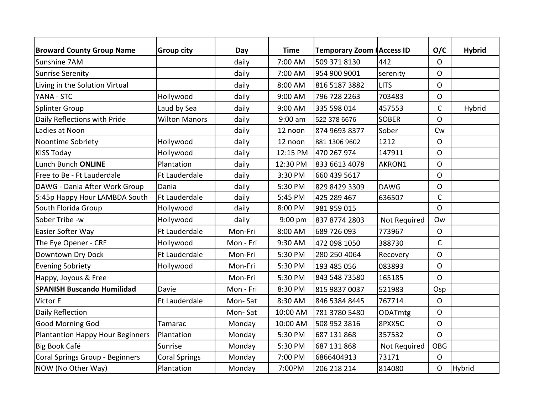| <b>Broward County Group Name</b>        | <b>Group city</b>    | Day       | <b>Time</b> | Temporary Zoom #Access ID |              | O/C            | <b>Hybrid</b> |
|-----------------------------------------|----------------------|-----------|-------------|---------------------------|--------------|----------------|---------------|
| Sunshine 7AM                            |                      | daily     | 7:00 AM     | 509 371 8130              | 442          | $\mathsf{O}$   |               |
| <b>Sunrise Serenity</b>                 |                      | daily     | 7:00 AM     | 954 900 9001              | serenity     | O              |               |
| Living in the Solution Virtual          |                      | daily     | 8:00 AM     | 816 5187 3882             | <b>LITS</b>  | $\mathsf{O}$   |               |
| YANA - STC                              | Hollywood            | daily     | 9:00 AM     | 796 728 2263              | 703483       | $\mathsf{O}$   |               |
| <b>Splinter Group</b>                   | Laud by Sea          | daily     | 9:00 AM     | 335 598 014               | 457553       | $\overline{C}$ | Hybrid        |
| Daily Reflections with Pride            | <b>Wilton Manors</b> | daily     | $9:00$ am   | 522 378 6676              | <b>SOBER</b> | $\mathsf{O}$   |               |
| Ladies at Noon                          |                      | daily     | 12 noon     | 874 9693 8377             | Sober        | Cw             |               |
| Noontime Sobriety                       | Hollywood            | daily     | 12 noon     | 881 1306 9602             | 1212         | $\overline{O}$ |               |
| <b>KISS Today</b>                       | Hollywood            | daily     | 12:15 PM    | 470 267 974               | 147911       | $\Omega$       |               |
| Lunch Bunch ONLINE                      | Plantation           | daily     | 12:30 PM    | 833 6613 4078             | AKRON1       | O              |               |
| Free to Be - Ft Lauderdale              | Ft Lauderdale        | daily     | 3:30 PM     | 660 439 5617              |              | $\Omega$       |               |
| DAWG - Dania After Work Group           | Dania                | daily     | 5:30 PM     | 829 8429 3309             | <b>DAWG</b>  | O              |               |
| 5:45p Happy Hour LAMBDA South           | Ft Lauderdale        | daily     | 5:45 PM     | 425 289 467               | 636507       | $\mathsf{C}$   |               |
| South Florida Group                     | Hollywood            | daily     | 8:00 PM     | 981 959 015               |              | $\mathsf{O}$   |               |
| Sober Tribe -w                          | Hollywood            | daily     | 9:00 pm     | 837 8774 2803             | Not Required | Ow             |               |
| Easier Softer Way                       | Ft Lauderdale        | Mon-Fri   | 8:00 AM     | 689 726 093               | 773967       | $\overline{O}$ |               |
| The Eye Opener - CRF                    | Hollywood            | Mon - Fri | 9:30 AM     | 472 098 1050              | 388730       | $\mathsf{C}$   |               |
| Downtown Dry Dock                       | Ft Lauderdale        | Mon-Fri   | 5:30 PM     | 280 250 4064              | Recovery     | $\mathsf{O}$   |               |
| <b>Evening Sobriety</b>                 | Hollywood            | Mon-Fri   | 5:30 PM     | 193 485 056               | 083893       | $\mathsf{O}$   |               |
| Happy, Joyous & Free                    |                      | Mon-Fri   | 5:30 PM     | 843 548 73580             | 165185       | $\Omega$       |               |
| <b>SPANISH Buscando Humilidad</b>       | Davie                | Mon - Fri | 8:30 PM     | 815 9837 0037             | 521983       | Osp            |               |
| Victor E                                | Ft Lauderdale        | Mon-Sat   | 8:30 AM     | 846 5384 8445             | 767714       | $\mathsf{O}$   |               |
| Daily Reflection                        |                      | Mon-Sat   | 10:00 AM    | 781 3780 5480             | ODATmtg      | $\overline{O}$ |               |
| Good Morning God                        | Tamarac              | Monday    | 10:00 AM    | 508 952 3816              | 8PXX5C       | $\overline{O}$ |               |
| <b>Plantantion Happy Hour Beginners</b> | Plantation           | Monday    | 5:30 PM     | 687 131 868               | 357532       | $\mathsf{O}$   |               |
| Big Book Café                           | Sunrise              | Monday    | 5:30 PM     | 687 131 868               | Not Required | <b>OBG</b>     |               |
| <b>Coral Springs Group - Beginners</b>  | <b>Coral Springs</b> | Monday    | 7:00 PM     | 6866404913                | 73171        | $\overline{O}$ |               |
| NOW (No Other Way)                      | Plantation           | Monday    | 7:00PM      | 206 218 214               | 814080       | $\mathsf{O}$   | Hybrid        |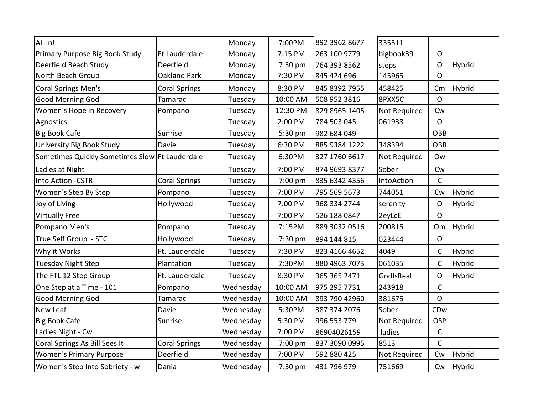| All In!                                          |                      | Monday    | 7:00PM   | 892 3962 8677 | 335511       |                |               |
|--------------------------------------------------|----------------------|-----------|----------|---------------|--------------|----------------|---------------|
| Primary Purpose Big Book Study                   | Ft Lauderdale        | Monday    | 7:15 PM  | 263 100 9779  | bigbook39    | $\mathsf{O}$   |               |
| Deerfield Beach Study                            | Deerfield            | Monday    | 7:30 pm  | 764 393 8562  | steps        | $\mathsf{O}$   | Hybrid        |
| North Beach Group                                | <b>Oakland Park</b>  | Monday    | 7:30 PM  | 845 424 696   | 145965       | $\Omega$       |               |
| <b>Coral Springs Men's</b>                       | <b>Coral Springs</b> | Monday    | 8:30 PM  | 845 8392 7955 | 458425       | Cm             | Hybrid        |
| Good Morning God                                 | Tamarac              | Tuesday   | 10:00 AM | 508 952 3816  | 8PXX5C       | $\Omega$       |               |
| Women's Hope in Recovery                         | Pompano              | Tuesday   | 12:30 PM | 829 8965 1405 | Not Required | Cw             |               |
| Agnostics                                        |                      | Tuesday   | 2:00 PM  | 784 503 045   | 061938       | $\overline{O}$ |               |
| Big Book Café                                    | Sunrise              | Tuesday   | 5:30 pm  | 982 684 049   |              | OBB            |               |
| University Big Book Study                        | Davie                | Tuesday   | 6:30 PM  | 885 9384 1222 | 348394       | OBB            |               |
| Sometimes Quickly Sometimes Slow   Ft Lauderdale |                      | Tuesday   | 6:30PM   | 327 1760 6617 | Not Required | Ow             |               |
| Ladies at Night                                  |                      | Tuesday   | 7:00 PM  | 874 9693 8377 | Sober        | Cw             |               |
| <b>Into Action -CSTR</b>                         | <b>Coral Springs</b> | Tuesday   | 7:00 pm  | 835 6342 4356 | IntoAction   | $\mathsf{C}$   |               |
| Women's Step By Step                             | Pompano              | Tuesday   | 7:00 PM  | 795 569 5673  | 744051       | Cw             | Hybrid        |
| Joy of Living                                    | Hollywood            | Tuesday   | 7:00 PM  | 968 334 2744  | serenity     | $\mathsf{O}$   | Hybrid        |
| <b>Virtually Free</b>                            |                      | Tuesday   | 7:00 PM  | 526 188 0847  | 2eyLcE       | $\Omega$       |               |
| Pompano Men's                                    | Pompano              | Tuesday   | 7:15PM   | 889 3032 0516 | 200815       | Om             | <b>Hybrid</b> |
| True Self Group - STC                            | Hollywood            | Tuesday   | 7:30 pm  | 894 144 815   | 023444       | O              |               |
| Why it Works                                     | Ft. Lauderdale       | Tuesday   | 7:30 PM  | 823 4166 4652 | 4049         | $\mathsf{C}$   | Hybrid        |
| <b>Tuesday Night Step</b>                        | Plantation           | Tuesday   | 7:30PM   | 880 4963 7073 | 061035       | $\mathsf{C}$   | Hybrid        |
| The FTL 12 Step Group                            | Ft. Lauderdale       | Tuesday   | 8:30 PM  | 365 365 2471  | GodIsReal    | $\mathsf{O}$   | Hybrid        |
| One Step at a Time - 101                         | Pompano              | Wednesday | 10:00 AM | 975 295 7731  | 243918       | $\mathsf{C}$   |               |
| Good Morning God                                 | Tamarac              | Wednesday | 10:00 AM | 893 790 42960 | 381675       | $\overline{O}$ |               |
| New Leaf                                         | Davie                | Wednesday | 5:30PM   | 387 374 2076  | Sober        | CDw            |               |
| Big Book Café                                    | Sunrise              | Wednesday | 5:30 PM  | 996 553 779   | Not Required | <b>OSP</b>     |               |
| Ladies Night - Cw                                |                      | Wednesday | 7:00 PM  | 86904026159   | ladies       | $\mathsf C$    |               |
| Coral Springs As Bill Sees It                    | <b>Coral Springs</b> | Wednesday | 7:00 pm  | 837 3090 0995 | 8513         | $\mathsf{C}$   |               |
| <b>Women's Primary Purpose</b>                   | Deerfield            | Wednesday | 7:00 PM  | 592 880 425   | Not Required | <b>Cw</b>      | Hybrid        |
| Women's Step Into Sobriety - w                   | Dania                | Wednesday | 7:30 pm  | 431 796 979   | 751669       | Cw             | Hybrid        |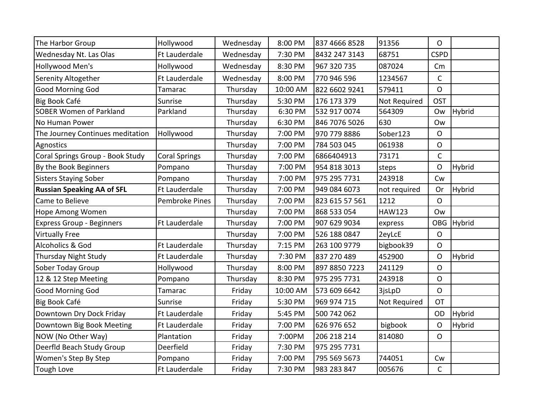| Hollywood            |           |          |                |               |                |               |
|----------------------|-----------|----------|----------------|---------------|----------------|---------------|
|                      | Wednesday | 8:00 PM  | 837 4666 8528  | 91356         | $\mathsf{O}$   |               |
| <b>Ft Lauderdale</b> | Wednesday | 7:30 PM  | 8432 247 3143  | 68751         | <b>CSPD</b>    |               |
| Hollywood            | Wednesday | 8:30 PM  | 967 320 735    | 087024        | Cm             |               |
| <b>Ft Lauderdale</b> | Wednesday | 8:00 PM  | 770 946 596    | 1234567       | $\mathsf{C}$   |               |
| Tamarac              | Thursday  | 10:00 AM | 822 6602 9241  | 579411        | $\overline{O}$ |               |
| Sunrise              | Thursday  | 5:30 PM  | 176 173 379    | Not Required  | <b>OST</b>     |               |
| Parkland             | Thursday  | 6:30 PM  | 532 917 0074   | 564309        | <b>Ow</b>      | Hybrid        |
|                      | Thursday  | 6:30 PM  | 846 7076 5026  | 630           | <b>Ow</b>      |               |
| Hollywood            | Thursday  | 7:00 PM  | 970 779 8886   | Sober123      | $\mathsf{O}$   |               |
|                      | Thursday  | 7:00 PM  | 784 503 045    | 061938        | $\mathsf O$    |               |
| <b>Coral Springs</b> | Thursday  | 7:00 PM  | 6866404913     | 73171         | $\mathsf{C}$   |               |
| Pompano              | Thursday  | 7:00 PM  | 954 818 3013   | steps         | O              | <b>Hybrid</b> |
| Pompano              | Thursday  | 7:00 PM  | 975 295 7731   | 243918        | Cw             |               |
| <b>Ft Lauderdale</b> | Thursday  | 7:00 PM  | 949 084 6073   | not required  | Or             | Hybrid        |
| Pembroke Pines       | Thursday  | 7:00 PM  | 823 615 57 561 | 1212          | $\mathsf{O}$   |               |
|                      | Thursday  | 7:00 PM  | 868 533 054    | <b>HAW123</b> | <b>Ow</b>      |               |
| Ft Lauderdale        | Thursday  | 7:00 PM  | 907 629 9034   | express       | <b>OBG</b>     | Hybrid        |
|                      | Thursday  | 7:00 PM  | 526 188 0847   | 2eyLcE        | $\mathsf{O}$   |               |
| <b>Ft Lauderdale</b> | Thursday  | 7:15 PM  | 263 100 9779   | bigbook39     | $\mathsf{O}$   |               |
| <b>Ft Lauderdale</b> | Thursday  | 7:30 PM  | 837 270 489    | 452900        | $\mathsf{O}$   | Hybrid        |
| Hollywood            | Thursday  | 8:00 PM  | 897 8850 7223  | 241129        | $\mathsf{O}$   |               |
| Pompano              | Thursday  | 8:30 PM  | 975 295 7731   | 243918        | $\mathsf{O}$   |               |
| Tamarac              | Friday    | 10:00 AM | 573 609 6642   | 3jsLpD        | $\mathsf{O}$   |               |
| Sunrise              | Friday    | 5:30 PM  | 969 974 715    | Not Required  | <b>OT</b>      |               |
| <b>Ft Lauderdale</b> | Friday    | 5:45 PM  | 500 742 062    |               | <b>OD</b>      | Hybrid        |
| <b>Ft Lauderdale</b> | Friday    | 7:00 PM  | 626 976 652    | bigbook       | O              | Hybrid        |
| Plantation           | Friday    | 7:00PM   | 206 218 214    | 814080        | $\mathsf{O}$   |               |
| Deerfield            | Friday    | 7:30 PM  | 975 295 7731   |               |                |               |
| Pompano              | Friday    | 7:00 PM  | 795 569 5673   | 744051        | Cw             |               |
| <b>Ft Lauderdale</b> | Friday    | 7:30 PM  | 983 283 847    | 005676        | $\mathsf{C}$   |               |
|                      |           |          |                |               |                |               |